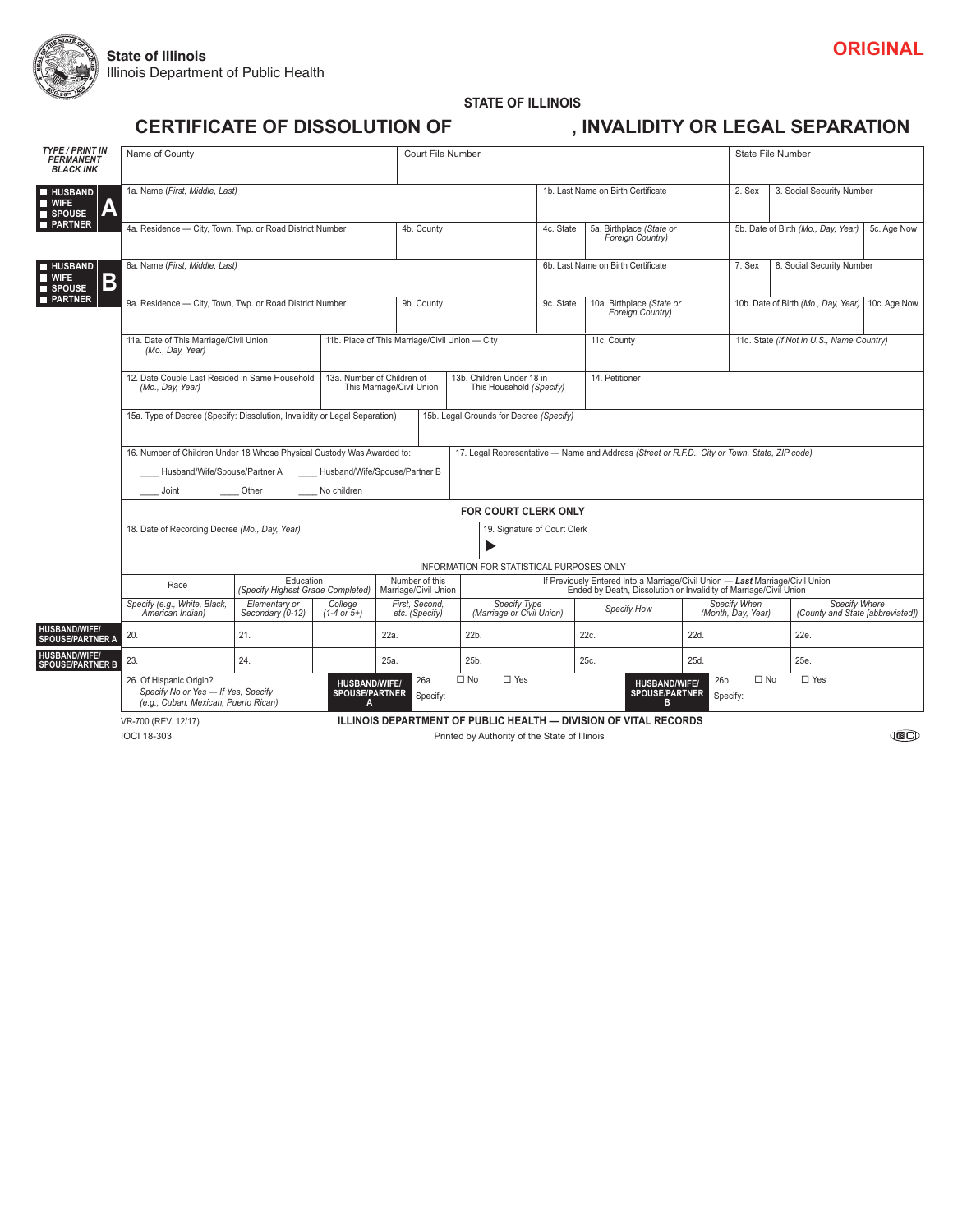

#### **STATE OF ILLINOIS CERTIFICATE OF DISSOLUTION OF GERTIFICATE OF DISSOLUTION OF GERTIFICATE OF DISSOLUTION OF GERTIFICATE**

| <b>TYPE / PRINT IN</b><br><b>PERMANENT</b><br><b>BLACK INK</b> | Name of County                                                                                                                                                                                                                                                                           |                                                |                                   | Court File Number                      |                                                                                               |           |                                               | State File Number                                                                                                                                  |                                                    |  |  |
|----------------------------------------------------------------|------------------------------------------------------------------------------------------------------------------------------------------------------------------------------------------------------------------------------------------------------------------------------------------|------------------------------------------------|-----------------------------------|----------------------------------------|-----------------------------------------------------------------------------------------------|-----------|-----------------------------------------------|----------------------------------------------------------------------------------------------------------------------------------------------------|----------------------------------------------------|--|--|
| <b>HUSBAND</b><br>$\blacksquare$ WIFE<br>SPOUSE                | 1a. Name (First, Middle, Last)                                                                                                                                                                                                                                                           |                                                |                                   |                                        |                                                                                               |           | 1b. Last Name on Birth Certificate            |                                                                                                                                                    | 3. Social Security Number                          |  |  |
| <b>PARTNER</b>                                                 | 4a. Residence - City, Town, Twp. or Road District Number                                                                                                                                                                                                                                 |                                                |                                   |                                        | 4b. County                                                                                    |           | 5a. Birthplace (State or<br>Foreign Country)  |                                                                                                                                                    | 5b. Date of Birth (Mo., Day, Year)<br>5c. Age Now  |  |  |
| <b>HUSBAND</b><br>B<br><b>WIFE</b><br>SPOUSE                   | 6a. Name (First, Middle, Last)                                                                                                                                                                                                                                                           |                                                |                                   | 6b. Last Name on Birth Certificate     |                                                                                               | 7. Sex    | 8. Social Security Number                     |                                                                                                                                                    |                                                    |  |  |
| <b>PARTNER</b>                                                 | 9a. Residence - City, Town, Twp. or Road District Number                                                                                                                                                                                                                                 |                                                |                                   |                                        |                                                                                               | 9c. State | 10a. Birthplace (State or<br>Foreign Country) |                                                                                                                                                    | 10b. Date of Birth (Mo., Day, Year)   10c. Age Now |  |  |
|                                                                | 11a. Date of This Marriage/Civil Union<br>(Mo., Day, Year)                                                                                                                                                                                                                               | 11b. Place of This Marriage/Civil Union - City |                                   |                                        | 11c. County                                                                                   |           | 11d. State (If Not in U.S., Name Country)     |                                                                                                                                                    |                                                    |  |  |
|                                                                | 13a. Number of Children of<br>12. Date Couple Last Resided in Same Household<br>(Mo., Day, Year)                                                                                                                                                                                         |                                                |                                   | This Marriage/Civil Union              | 13b. Children Under 18 in<br>This Household (Specify)                                         |           | 14. Petitioner                                |                                                                                                                                                    | $ \mathbf{v} $                                     |  |  |
|                                                                | 15a. Type of Decree (Specify: Dissolution, Invalidity or Legal Separation)                                                                                                                                                                                                               |                                                |                                   | $\blacktriangledown$                   | 15b. Legal Grounds for Decree (Specify)                                                       |           |                                               |                                                                                                                                                    |                                                    |  |  |
|                                                                | 16. Number of Children Under 18 Whose Physical Custody Was Awarded to:<br>Husband/Wife/Spouse/Partner A                                                                                                                                                                                  |                                                | Husband/Wife/Spouse/Partner B     |                                        | 17. Legal Representative - Name and Address (Street or R.F.D., City or Town, State, ZIP code) |           |                                               |                                                                                                                                                    |                                                    |  |  |
|                                                                | Joint                                                                                                                                                                                                                                                                                    | Other                                          | No children                       |                                        |                                                                                               |           |                                               |                                                                                                                                                    |                                                    |  |  |
|                                                                |                                                                                                                                                                                                                                                                                          |                                                |                                   |                                        | <b>FOR COURT CLERK ONLY</b>                                                                   |           |                                               |                                                                                                                                                    |                                                    |  |  |
|                                                                | 18. Date of Recording Decree (Mo., Day, Year)                                                                                                                                                                                                                                            |                                                |                                   |                                        | 19. Signature of Court Clerk                                                                  |           |                                               |                                                                                                                                                    |                                                    |  |  |
|                                                                |                                                                                                                                                                                                                                                                                          |                                                |                                   |                                        | INFORMATION FOR STATISTICAL PURPOSES ONLY                                                     |           |                                               |                                                                                                                                                    |                                                    |  |  |
|                                                                | Race                                                                                                                                                                                                                                                                                     | Education<br>(Specify Highest Grade Completed) |                                   | Number of this<br>Marriage/Civil Union |                                                                                               |           |                                               | If Previously Entered Into a Marriage/Civil Union - Last Marriage/Civil Union<br>Ended by Death, Dissolution or Invalidity of Marriage/Civil Union |                                                    |  |  |
|                                                                | Specify (e.g., White, Black,<br>American Indian)                                                                                                                                                                                                                                         | Elementary or<br>Secondary (0-12)              | College<br>$(1-4 \text{ or } 5+)$ | First, Second,<br>etc. (Specify)       | Specify Type<br>(Marriage or Civil Union)                                                     |           | Specify How                                   | Specify When<br>(Month, Day, Year)                                                                                                                 | Specify Where<br>(County and State [abbreviated])  |  |  |
| <b>HUSBAND/WIFE/</b><br><b>SPOUSE/PARTNER A</b>                | 20.                                                                                                                                                                                                                                                                                      | 21.                                            |                                   | 22a.                                   | 22b.                                                                                          |           | 22c.                                          | 22d.                                                                                                                                               | 22e.                                               |  |  |
| HUSBAND/WIFE/<br><b>SPOUSE/PARTNER B</b>                       | 23.                                                                                                                                                                                                                                                                                      | 24.                                            |                                   | 25a.                                   | 25b.                                                                                          |           | 25c.                                          | 25d.                                                                                                                                               | 25e.                                               |  |  |
|                                                                | $\square$ No<br>$\Box$ Yes<br>26b.<br>26. Of Hispanic Origin?<br>26a.<br><b>HUSBAND/WIFE/</b><br><b>HUSBAND/WIFE/</b><br>Specify No or Yes - If Yes, Specify<br><b>SPOUSE/PARTNER</b><br><b>SPOUSE/PARTNER</b><br>Specify:<br>Specify:<br>(e.g., Cuban, Mexican, Puerto Rican)<br>R<br>A |                                                |                                   |                                        |                                                                                               |           |                                               |                                                                                                                                                    | $\square$ No<br>$\Box$ Yes                         |  |  |
|                                                                | ILLINOIS DEPARTMENT OF PUBLIC HEALTH - DIVISION OF VITAL RECORDS<br>VR-700 (REV. 12/17)                                                                                                                                                                                                  |                                                |                                   |                                        |                                                                                               |           |                                               |                                                                                                                                                    |                                                    |  |  |

IOCI 18-303 Printed by Authority of the State of Illinois

 $\bigoplus$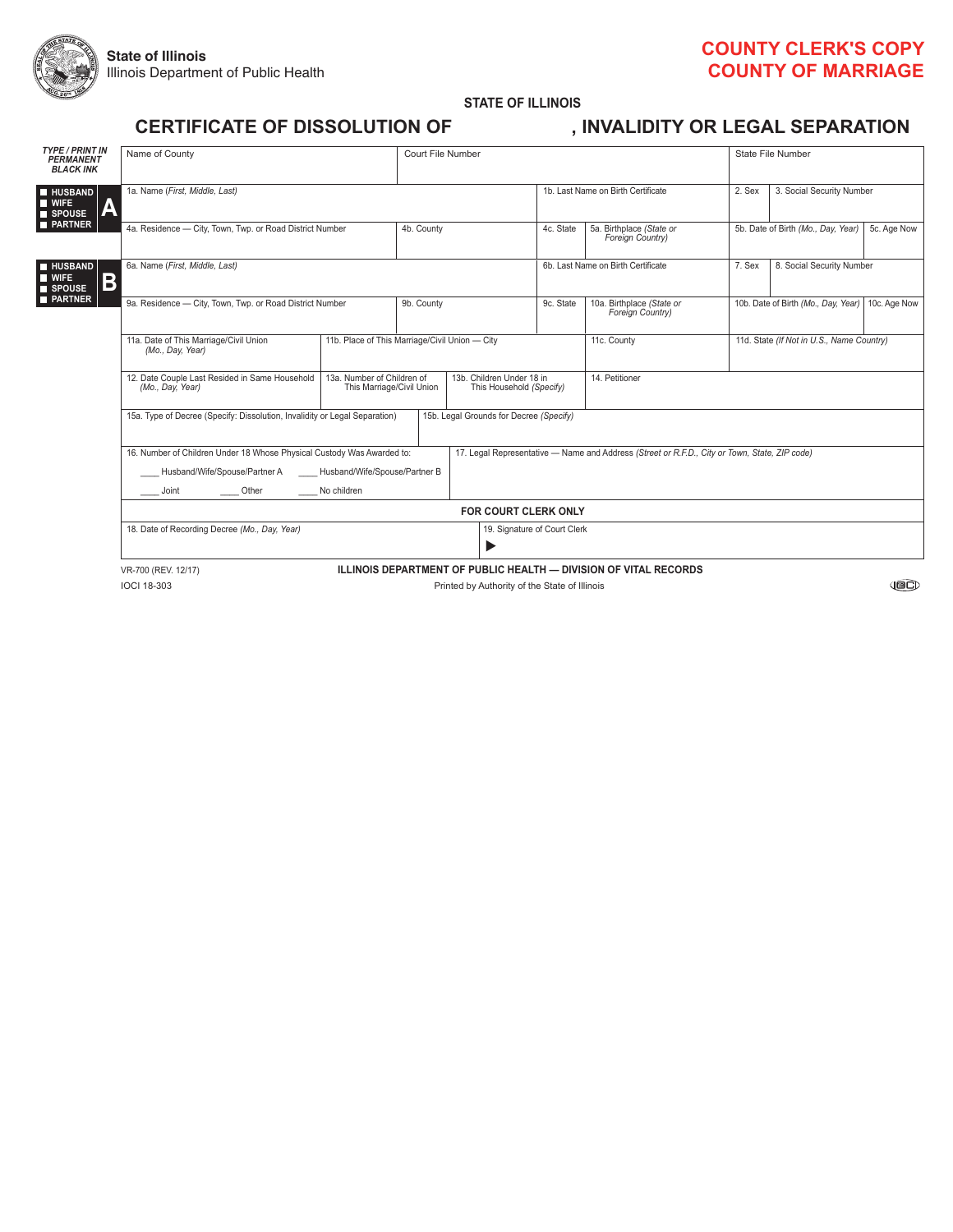

### **COUNTy CLERK'S COPy COUNTy OF MARRIAGE**

**STATE OF ILLINOIS**

### **CERTIFICATE OF DISSOLUTION OF , INVALIDITy OR LEGAL SEPARATION**

|  | <b>RTIFICATE OF DISSOLUTION OF:</b> |  |
|--|-------------------------------------|--|
|  |                                     |  |

| <b>TYPE / PRINT IN</b><br><b>PERMANENT</b><br><b>BLACK INK</b>           | Name of County                                                                                                                                | Court File Number                                                                                                |                                    |                                    |                                               | State File Number                                                                             |                                                     |  |  |  |  |
|--------------------------------------------------------------------------|-----------------------------------------------------------------------------------------------------------------------------------------------|------------------------------------------------------------------------------------------------------------------|------------------------------------|------------------------------------|-----------------------------------------------|-----------------------------------------------------------------------------------------------|-----------------------------------------------------|--|--|--|--|
| <b>HUSBAND</b><br><b>WIFE</b><br>7A (<br>SPOUSE                          | 1a. Name (First, Middle, Last)                                                                                                                |                                                                                                                  |                                    | 1b. Last Name on Birth Certificate |                                               | 2. Sex                                                                                        | 3. Social Security Number                           |  |  |  |  |
| <b>PARTNER</b>                                                           | 4a. Residence - City. Town. Twp. or Road District Number                                                                                      | 4b. County                                                                                                       |                                    | 4c. State                          | 5a. Birthplace (State or<br>Foreign Country)  |                                                                                               | 5b. Date of Birth (Mo., Dav. Year)<br>5c. Age Now   |  |  |  |  |
| <b>HUSBAND</b><br><b>WIFE</b><br>$\mathbf B$<br>SPOUSE<br><b>PARTNER</b> | 6a. Name (First, Middle, Last)                                                                                                                |                                                                                                                  | 6b. Last Name on Birth Certificate |                                    |                                               | 8. Social Security Number                                                                     |                                                     |  |  |  |  |
|                                                                          | 9a. Residence - City. Town. Twp. or Road District Number                                                                                      | 9b. County                                                                                                       |                                    | 9c. State                          | 10a. Birthplace (State or<br>Foreign Country) |                                                                                               | 10b. Date of Birth (Mo., Dav. Year)<br>10c. Age Now |  |  |  |  |
|                                                                          | 11a. Date of This Marriage/Civil Union<br>(Mo., Day, Year)                                                                                    | 11b. Place of This Marriage/Civil Union - City                                                                   |                                    | 11c. County                        |                                               | 11d. State (If Not in U.S., Name Country)                                                     |                                                     |  |  |  |  |
|                                                                          | 12. Date Couple Last Resided in Same Household<br>(Mo., Day, Year)                                                                            | 13a. Number of Children of<br>13b. Children Under 18 in<br>This Marriage/Civil Union<br>This Household (Specify) |                                    | 14. Petitioner                     |                                               |                                                                                               |                                                     |  |  |  |  |
|                                                                          | 15a. Type of Decree (Specify: Dissolution, Invalidity or Legal Separation)<br>15b. Legal Grounds for Decree (Specify)<br>$\blacktriangledown$ |                                                                                                                  |                                    |                                    |                                               |                                                                                               |                                                     |  |  |  |  |
|                                                                          | 16. Number of Children Under 18 Whose Physical Custody Was Awarded to:<br>Husband/Wife/Spouse/Partner A<br>Other<br>Joint                     | Husband/Wife/Spouse/Partner B<br>No children                                                                     |                                    |                                    |                                               | 17. Legal Representative - Name and Address (Street or R.F.D., City or Town, State, ZIP code) |                                                     |  |  |  |  |
|                                                                          |                                                                                                                                               |                                                                                                                  |                                    | <b>FOR COURT CLERK ONLY</b>        |                                               |                                                                                               |                                                     |  |  |  |  |
|                                                                          | 18. Date of Recording Decree (Mo., Day, Year)                                                                                                 |                                                                                                                  |                                    |                                    | 19. Signature of Court Clerk<br>▶             |                                                                                               |                                                     |  |  |  |  |
|                                                                          | <b>ILLINOIS DEPARTMENT OF PUBLIC HEALTH - DIVISION OF VITAL RECORDS</b><br>VR-700 (REV. 12/17)                                                |                                                                                                                  |                                    |                                    |                                               |                                                                                               |                                                     |  |  |  |  |
|                                                                          | <b>IOCI 18-303</b><br>Printed by Authority of the State of Illinois                                                                           |                                                                                                                  |                                    |                                    |                                               |                                                                                               |                                                     |  |  |  |  |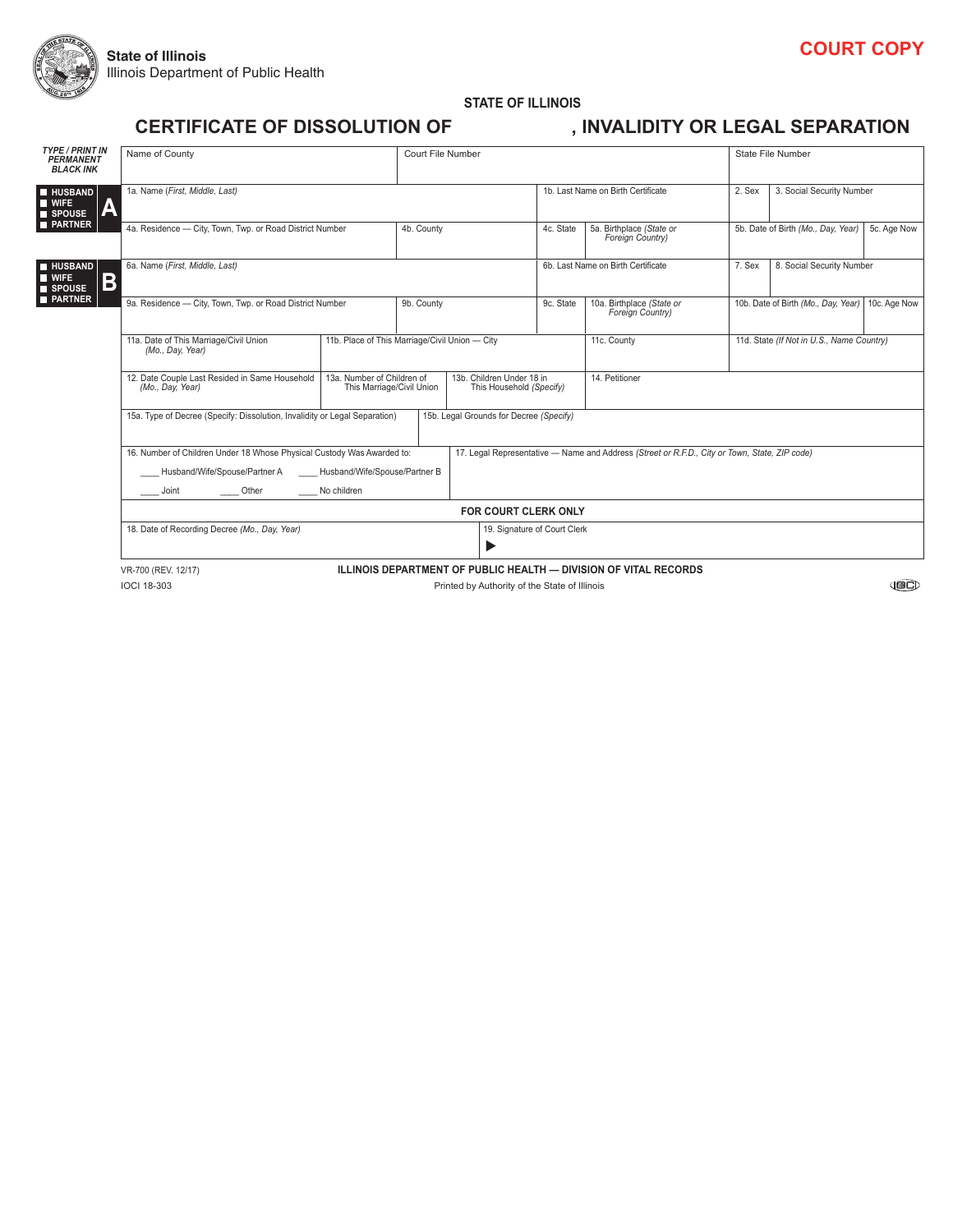

#### **STATE OF ILLINOIS CERTIFICATE OF DISSOLUTION OF , INVALIDITy OR LEGAL SEPARATION**

| <b>TYPE / PRINT IN</b>                                                        |                                                                                                                                                   |                                                                                                                  |                                    |                             |                                               |                                                  |                                    |             |  |  |  |
|-------------------------------------------------------------------------------|---------------------------------------------------------------------------------------------------------------------------------------------------|------------------------------------------------------------------------------------------------------------------|------------------------------------|-----------------------------|-----------------------------------------------|--------------------------------------------------|------------------------------------|-------------|--|--|--|
| <b>PERMANENT</b><br><b>BLACK INK</b>                                          | Name of County                                                                                                                                    | Court File Number                                                                                                |                                    |                             | State File Number                             |                                                  |                                    |             |  |  |  |
| <b>HUSBAND</b><br>$\blacksquare$ WIFE<br>$\overline{\mathsf{A}}$<br>SPOUSE    | 1a. Name (First, Middle, Last)                                                                                                                    |                                                                                                                  | 1b. Last Name on Birth Certificate |                             | 2. Sex                                        | 3. Social Security Number                        |                                    |             |  |  |  |
| <b>PARTNER</b>                                                                | 4a. Residence - City, Town, Twp. or Road District Number                                                                                          |                                                                                                                  |                                    | 4c. State                   | 5a. Birthplace (State or<br>Foreign Country)  |                                                  | 5b. Date of Birth (Mo., Day, Year) | 5c. Age Now |  |  |  |
| <b>HUSBAND</b><br>$\blacksquare$ WIFE<br>Β<br><b>SPOUSE</b><br><b>PARTNER</b> | 6a. Name (First, Middle, Last)                                                                                                                    |                                                                                                                  | 6b. Last Name on Birth Certificate |                             | 7. Sex                                        | 8. Social Security Number                        |                                    |             |  |  |  |
|                                                                               | 9a. Residence - City, Town, Twp. or Road District Number                                                                                          | 9b. County                                                                                                       |                                    | 9c. State                   | 10a. Birthplace (State or<br>Foreign Country) | 10b. Date of Birth (Mo., Day, Year) 10c. Age Now |                                    |             |  |  |  |
|                                                                               | 11a. Date of This Marriage/Civil Union<br>(Mo., Day, Year)                                                                                        | 11b. Place of This Marriage/Civil Union - City                                                                   |                                    | 11c. County                 |                                               | 11d. State (If Not in U.S., Name Country)        |                                    |             |  |  |  |
|                                                                               | 12. Date Couple Last Resided in Same Household<br>(Mo., Day, Year)                                                                                | 13a. Number of Children of<br>13b. Children Under 18 in<br>This Marriage/Civil Union<br>This Household (Specify) |                                    | 14. Petitioner              |                                               |                                                  |                                    |             |  |  |  |
|                                                                               | 15a. Type of Decree (Specify: Dissolution, Invalidity or Legal Separation)<br>15b. Legal Grounds for Decree (Specify)<br>$\overline{\phantom{a}}$ |                                                                                                                  |                                    |                             |                                               |                                                  |                                    |             |  |  |  |
|                                                                               | 16. Number of Children Under 18 Whose Physical Custody Was Awarded to:<br>Husband/Wife/Spouse/Partner A<br>Husband/Wife/Spouse/Partner B          | 17. Legal Representative - Name and Address (Street or R.F.D., City or Town, State, ZIP code)                    |                                    |                             |                                               |                                                  |                                    |             |  |  |  |
|                                                                               | Other<br>____ Joint                                                                                                                               | No children                                                                                                      |                                    |                             |                                               |                                                  |                                    |             |  |  |  |
|                                                                               |                                                                                                                                                   |                                                                                                                  |                                    | <b>FOR COURT CLERK ONLY</b> |                                               |                                                  |                                    |             |  |  |  |
|                                                                               | 18. Date of Recording Decree (Mo., Day, Year)                                                                                                     | 19. Signature of Court Clerk<br>▶                                                                                |                                    |                             |                                               |                                                  |                                    |             |  |  |  |
|                                                                               | ILLINOIS DEPARTMENT OF PUBLIC HEALTH - DIVISION OF VITAL RECORDS<br>VR-700 (REV. 12/17)                                                           |                                                                                                                  |                                    |                             |                                               |                                                  |                                    |             |  |  |  |
|                                                                               | <b>IOCI 18-303</b>                                                                                                                                |                                                                                                                  |                                    | <b>JBC)</b>                 |                                               |                                                  |                                    |             |  |  |  |